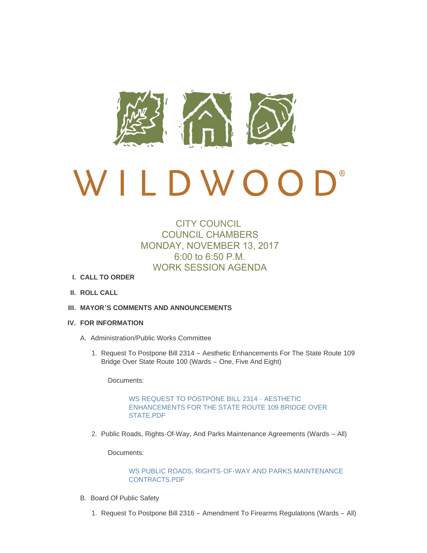

# $\bigcup$ D W O O

# CITY COUNCIL COUNCIL CHAMBERS MONDAY, NOVEMBER 13, 2017 6:00 to 6:50 P.M. WORK SESSION AGENDA

- **CALL TO ORDER I.**
- **ROLL CALL II.**
- **MAYOR'S COMMENTS AND ANNOUNCEMENTS III.**
- **FOR INFORMATION IV.**
	- A. Administration/Public Works Committee
		- 1. Request To Postpone Bill 2314 Aesthetic Enhancements For The State Route 109 Bridge Over State Route 100 (Wards – One, Five And Eight)

Documents:

WS REQUEST TO POSTPONE BILL 2314 - AESTHETIC [ENHANCEMENTS FOR THE STATE ROUTE 109 BRIDGE OVER](http://mo-wildwood.civicplus.com/AgendaCenter/ViewFile/Item/13000?fileID=18896)  STATE.PDF

2. Public Roads, Rights-Of-Way, And Parks Maintenance Agreements (Wards - All)

Documents:

[WS PUBLIC ROADS, RIGHTS-OF-WAY AND PARKS MAINTENANCE](http://mo-wildwood.civicplus.com/AgendaCenter/ViewFile/Item/13001?fileID=18932)  CONTRACTS.PDF

- B. Board Of Public Safety
	- 1. Request To Postpone Bill 2316 Amendment To Firearms Regulations (Wards All)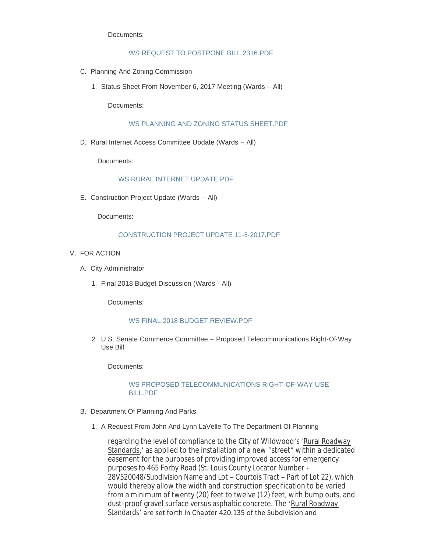Documents:

# [WS REQUEST TO POSTPONE BILL 2316.PDF](http://mo-wildwood.civicplus.com/AgendaCenter/ViewFile/Item/13003?fileID=18898)

- C. Planning And Zoning Commission
	- 1. Status Sheet From November 6, 2017 Meeting (Wards All)

Documents:

# [WS PLANNING AND ZONING STATUS SHEET.PDF](http://mo-wildwood.civicplus.com/AgendaCenter/ViewFile/Item/13005?fileID=18900)

D. Rural Internet Access Committee Update (Wards - All)

Documents:

# [WS RURAL INTERNET UPDATE.PDF](http://mo-wildwood.civicplus.com/AgendaCenter/ViewFile/Item/13006?fileID=18901)

E. Construction Project Update (Wards - All)

Documents:

# [CONSTRUCTION PROJECT UPDATE 11-8-2017.PDF](http://mo-wildwood.civicplus.com/AgendaCenter/ViewFile/Item/13007?fileID=18902)

- V. FOR ACTION
	- A. City Administrator
		- Final 2018 Budget Discussion (Wards All) 1.

Documents:

#### [WS FINAL 2018 BUDGET REVIEW.PDF](http://mo-wildwood.civicplus.com/AgendaCenter/ViewFile/Item/13017?fileID=18934)

2. U.S. Senate Commerce Committee - Proposed Telecommunications Right-Of-Way Use Bill

Documents:

# [WS PROPOSED TELECOMMUNICATIONS RIGHT-OF-WAY USE](http://mo-wildwood.civicplus.com/AgendaCenter/ViewFile/Item/13011?fileID=18904)  BILL.PDF

- B. Department Of Planning And Parks
	- 1. A Request From John And Lynn LaVelle To The Department Of Planning

regarding the level of compliance to the City of Wildwood's 'Rural Roadway Standards,' as applied to the installation of a new "street" within a dedicated easement for the purposes of providing improved access for emergency purposes to 465 Forby Road (St. Louis County Locator Number - 28V520048/Subdivision Name and Lot – Courtois Tract – Part of Lot 22), which would thereby allow the width and construction specification to be varied from a minimum of twenty (20) feet to twelve (12) feet, with bump outs, and dust-proof gravel surface versus asphaltic concrete. The 'Rural Roadway Standards' are set forth in Chapter 420.135 of the Subdivision and